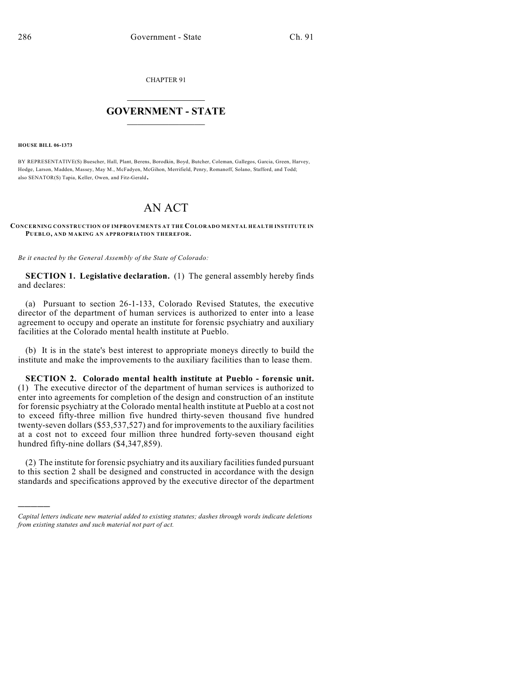CHAPTER 91

## $\mathcal{L}_\text{max}$  . The set of the set of the set of the set of the set of the set of the set of the set of the set of the set of the set of the set of the set of the set of the set of the set of the set of the set of the set **GOVERNMENT - STATE**  $\_$   $\_$   $\_$   $\_$   $\_$   $\_$   $\_$   $\_$

**HOUSE BILL 06-1373**

)))))

BY REPRESENTATIVE(S) Buescher, Hall, Plant, Berens, Borodkin, Boyd, Butcher, Coleman, Gallegos, Garcia, Green, Harvey, Hodge, Larson, Madden, Massey, May M., McFadyen, McGihon, Merrifield, Penry, Romanoff, Solano, Stafford, and Todd; also SENATOR(S) Tapia, Keller, Owen, and Fitz-Gerald.

## AN ACT

## **CONCERNING CONSTRUCTION OF IMPROVEMENTS AT THE COLORADO MENTAL HEALTH INSTITUTE IN PUEBLO, AND MAKING AN APPROPRIATION THEREFOR.**

*Be it enacted by the General Assembly of the State of Colorado:*

**SECTION 1. Legislative declaration.** (1) The general assembly hereby finds and declares:

(a) Pursuant to section 26-1-133, Colorado Revised Statutes, the executive director of the department of human services is authorized to enter into a lease agreement to occupy and operate an institute for forensic psychiatry and auxiliary facilities at the Colorado mental health institute at Pueblo.

(b) It is in the state's best interest to appropriate moneys directly to build the institute and make the improvements to the auxiliary facilities than to lease them.

**SECTION 2. Colorado mental health institute at Pueblo - forensic unit.** (1) The executive director of the department of human services is authorized to enter into agreements for completion of the design and construction of an institute for forensic psychiatry at the Colorado mental health institute at Pueblo at a cost not to exceed fifty-three million five hundred thirty-seven thousand five hundred twenty-seven dollars (\$53,537,527) and for improvements to the auxiliary facilities at a cost not to exceed four million three hundred forty-seven thousand eight hundred fifty-nine dollars (\$4,347,859).

(2) The institute for forensic psychiatry and its auxiliary facilities funded pursuant to this section 2 shall be designed and constructed in accordance with the design standards and specifications approved by the executive director of the department

*Capital letters indicate new material added to existing statutes; dashes through words indicate deletions from existing statutes and such material not part of act.*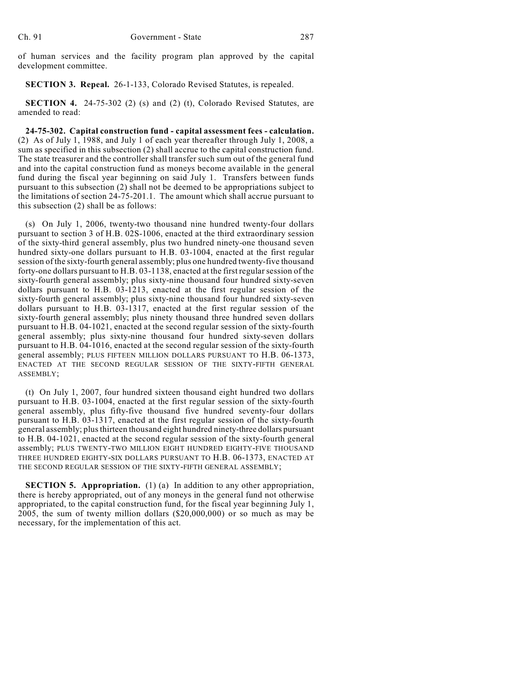of human services and the facility program plan approved by the capital development committee.

**SECTION 3. Repeal.** 26-1-133, Colorado Revised Statutes, is repealed.

**SECTION 4.** 24-75-302 (2) (s) and (2) (t), Colorado Revised Statutes, are amended to read:

**24-75-302. Capital construction fund - capital assessment fees - calculation.** (2) As of July 1, 1988, and July 1 of each year thereafter through July 1, 2008, a sum as specified in this subsection (2) shall accrue to the capital construction fund. The state treasurer and the controller shall transfer such sum out of the general fund and into the capital construction fund as moneys become available in the general fund during the fiscal year beginning on said July 1. Transfers between funds pursuant to this subsection (2) shall not be deemed to be appropriations subject to the limitations of section 24-75-201.1. The amount which shall accrue pursuant to this subsection (2) shall be as follows:

(s) On July 1, 2006, twenty-two thousand nine hundred twenty-four dollars pursuant to section 3 of H.B. 02S-1006, enacted at the third extraordinary session of the sixty-third general assembly, plus two hundred ninety-one thousand seven hundred sixty-one dollars pursuant to H.B. 03-1004, enacted at the first regular session of the sixty-fourth general assembly; plus one hundred twenty-five thousand forty-one dollars pursuant to H.B. 03-1138, enacted at the first regular session of the sixty-fourth general assembly; plus sixty-nine thousand four hundred sixty-seven dollars pursuant to H.B. 03-1213, enacted at the first regular session of the sixty-fourth general assembly; plus sixty-nine thousand four hundred sixty-seven dollars pursuant to H.B. 03-1317, enacted at the first regular session of the sixty-fourth general assembly; plus ninety thousand three hundred seven dollars pursuant to H.B. 04-1021, enacted at the second regular session of the sixty-fourth general assembly; plus sixty-nine thousand four hundred sixty-seven dollars pursuant to H.B. 04-1016, enacted at the second regular session of the sixty-fourth general assembly; PLUS FIFTEEN MILLION DOLLARS PURSUANT TO H.B. 06-1373, ENACTED AT THE SECOND REGULAR SESSION OF THE SIXTY-FIFTH GENERAL ASSEMBLY;

(t) On July 1, 2007, four hundred sixteen thousand eight hundred two dollars pursuant to H.B. 03-1004, enacted at the first regular session of the sixty-fourth general assembly, plus fifty-five thousand five hundred seventy-four dollars pursuant to H.B. 03-1317, enacted at the first regular session of the sixty-fourth general assembly; plus thirteen thousand eight hundred ninety-three dollars pursuant to H.B. 04-1021, enacted at the second regular session of the sixty-fourth general assembly; PLUS TWENTY-TWO MILLION EIGHT HUNDRED EIGHTY-FIVE THOUSAND THREE HUNDRED EIGHTY-SIX DOLLARS PURSUANT TO H.B. 06-1373, ENACTED AT THE SECOND REGULAR SESSION OF THE SIXTY-FIFTH GENERAL ASSEMBLY;

**SECTION 5. Appropriation.** (1) (a) In addition to any other appropriation, there is hereby appropriated, out of any moneys in the general fund not otherwise appropriated, to the capital construction fund, for the fiscal year beginning July 1, 2005, the sum of twenty million dollars (\$20,000,000) or so much as may be necessary, for the implementation of this act.